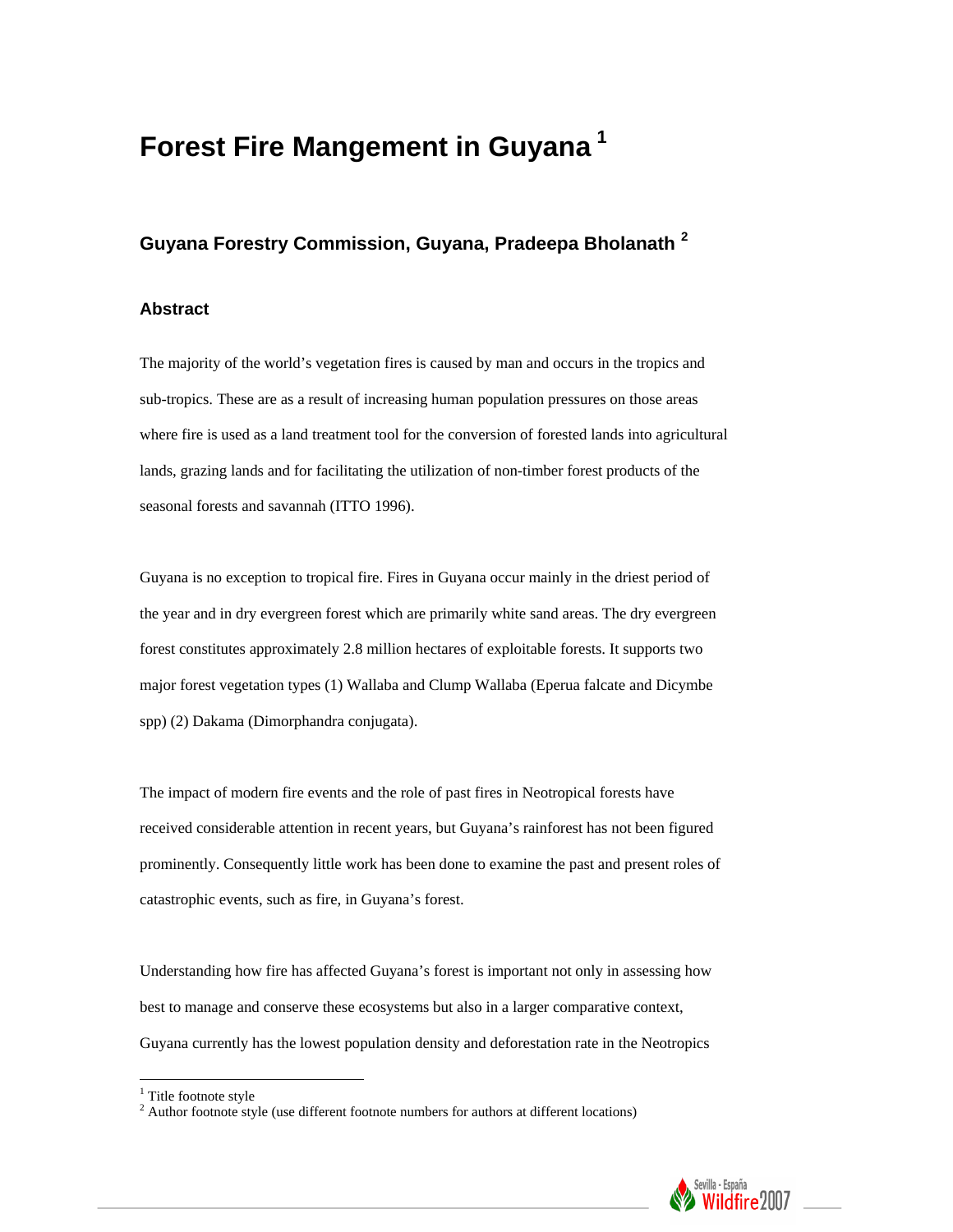# **Forest Fire Mangement in Guyana [1](#page-0-0)**

# **Guyana Forestry Commission, Guyana, Pradeepa Bholanath [2](#page-0-1)**

### **Abstract**

The majority of the world's vegetation fires is caused by man and occurs in the tropics and sub-tropics. These are as a result of increasing human population pressures on those areas where fire is used as a land treatment tool for the conversion of forested lands into agricultural lands, grazing lands and for facilitating the utilization of non-timber forest products of the seasonal forests and savannah (ITTO 1996).

Guyana is no exception to tropical fire. Fires in Guyana occur mainly in the driest period of the year and in dry evergreen forest which are primarily white sand areas. The dry evergreen forest constitutes approximately 2.8 million hectares of exploitable forests. It supports two major forest vegetation types (1) Wallaba and Clump Wallaba (Eperua falcate and Dicymbe spp) (2) Dakama (Dimorphandra conjugata).

The impact of modern fire events and the role of past fires in Neotropical forests have received considerable attention in recent years, but Guyana's rainforest has not been figured prominently. Consequently little work has been done to examine the past and present roles of catastrophic events, such as fire, in Guyana's forest.

Understanding how fire has affected Guyana's forest is important not only in assessing how best to manage and conserve these ecosystems but also in a larger comparative context, Guyana currently has the lowest population density and deforestation rate in the Neotropics

<span id="page-0-1"></span><span id="page-0-0"></span> $2$  Author footnote style (use different footnote numbers for authors at different locations)



 1 Title footnote style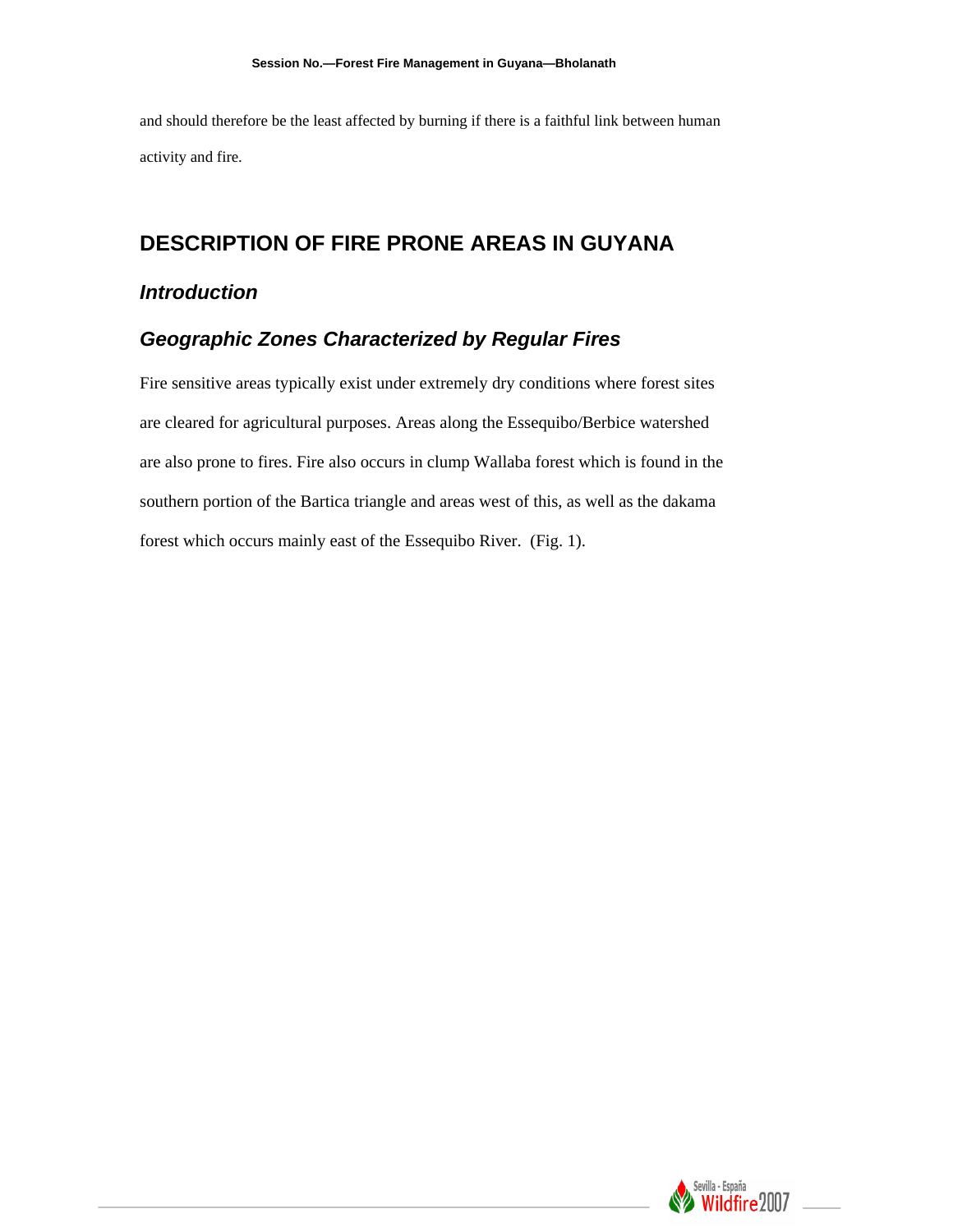and should therefore be the least affected by burning if there is a faithful link between human activity and fire.

# **DESCRIPTION OF FIRE PRONE AREAS IN GUYANA**

### *Introduction*

### *Geographic Zones Characterized by Regular Fires*

Fire sensitive areas typically exist under extremely dry conditions where forest sites are cleared for agricultural purposes. Areas along the Essequibo/Berbice watershed are also prone to fires. Fire also occurs in clump Wallaba forest which is found in the southern portion of the Bartica triangle and areas west of this, as well as the dakama forest which occurs mainly east of the Essequibo River. (Fig. 1).

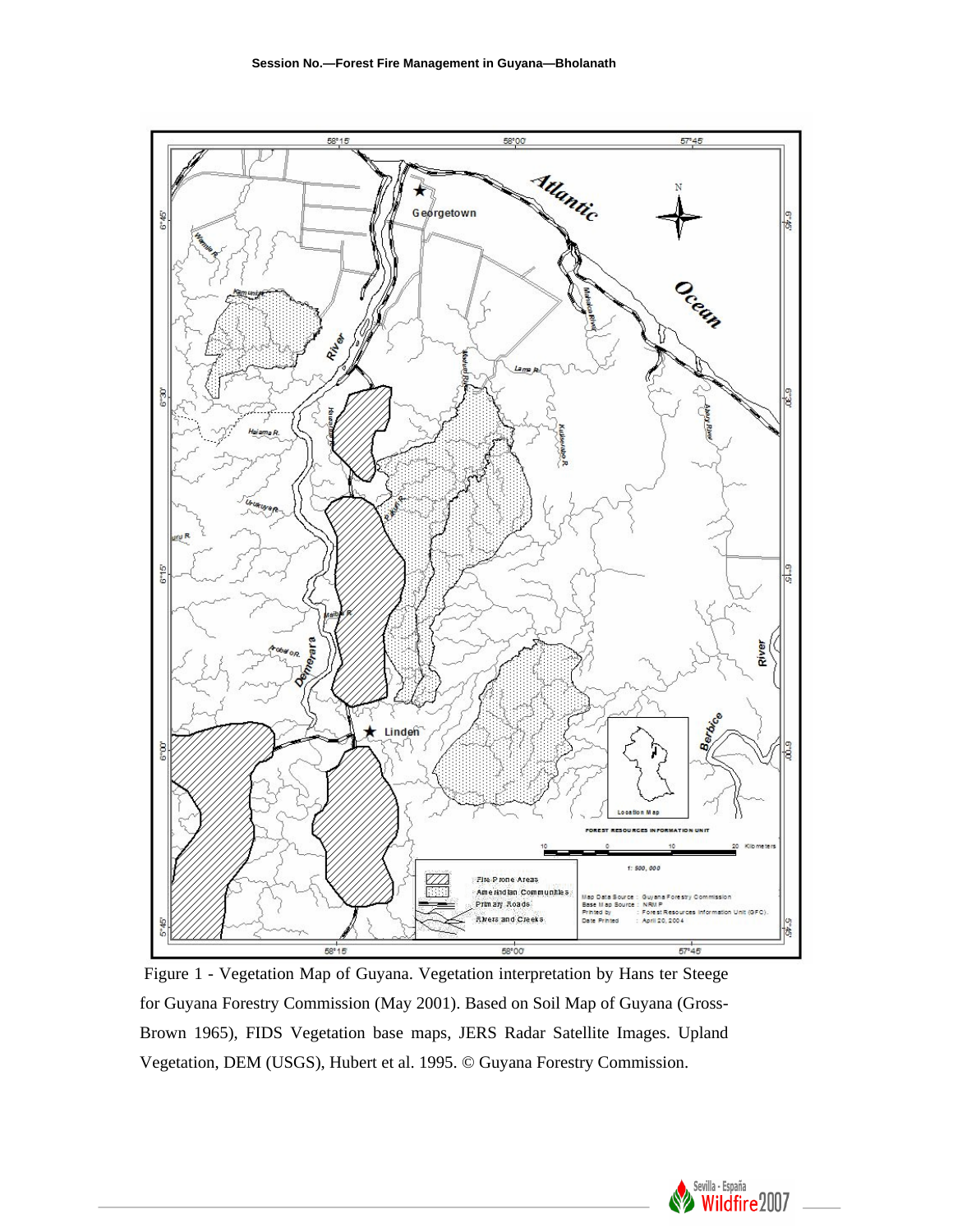

 Figure 1 - Vegetation Map of Guyana. Vegetation interpretation by Hans ter Steege for Guyana Forestry Commission (May 2001). Based on Soil Map of Guyana (Gross-Brown 1965), FIDS Vegetation base maps, JERS Radar Satellite Images. Upland Vegetation, DEM (USGS), Hubert et al. 1995. © Guyana Forestry Commission.

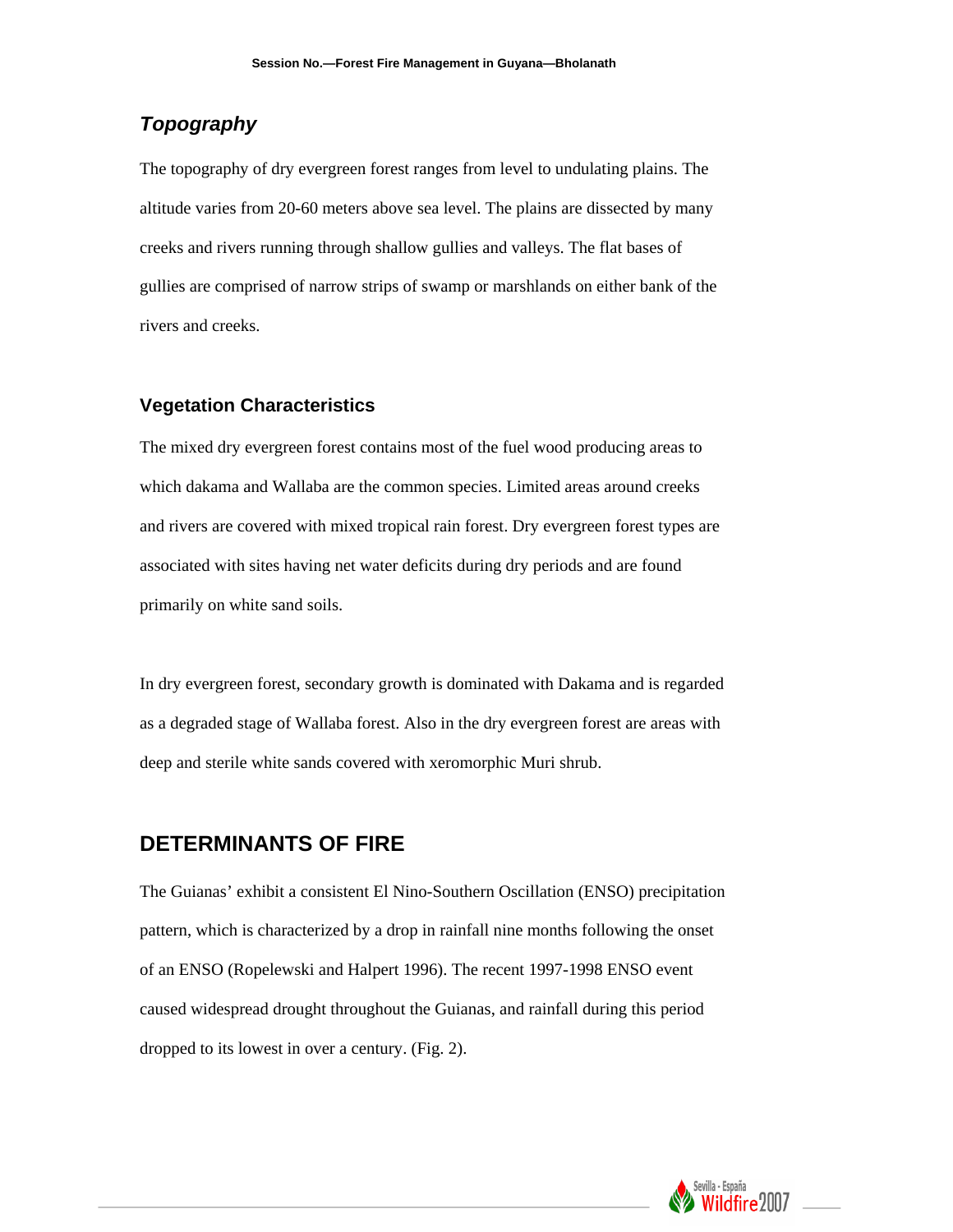# *Topography*

The topography of dry evergreen forest ranges from level to undulating plains. The altitude varies from 20-60 meters above sea level. The plains are dissected by many creeks and rivers running through shallow gullies and valleys. The flat bases of gullies are comprised of narrow strips of swamp or marshlands on either bank of the rivers and creeks.

### **Vegetation Characteristics**

The mixed dry evergreen forest contains most of the fuel wood producing areas to which dakama and Wallaba are the common species. Limited areas around creeks and rivers are covered with mixed tropical rain forest. Dry evergreen forest types are associated with sites having net water deficits during dry periods and are found primarily on white sand soils.

In dry evergreen forest, secondary growth is dominated with Dakama and is regarded as a degraded stage of Wallaba forest. Also in the dry evergreen forest are areas with deep and sterile white sands covered with xeromorphic Muri shrub.

### **DETERMINANTS OF FIRE**

The Guianas' exhibit a consistent El Nino-Southern Oscillation (ENSO) precipitation pattern, which is characterized by a drop in rainfall nine months following the onset of an ENSO (Ropelewski and Halpert 1996). The recent 1997-1998 ENSO event caused widespread drought throughout the Guianas, and rainfall during this period dropped to its lowest in over a century. (Fig. 2).

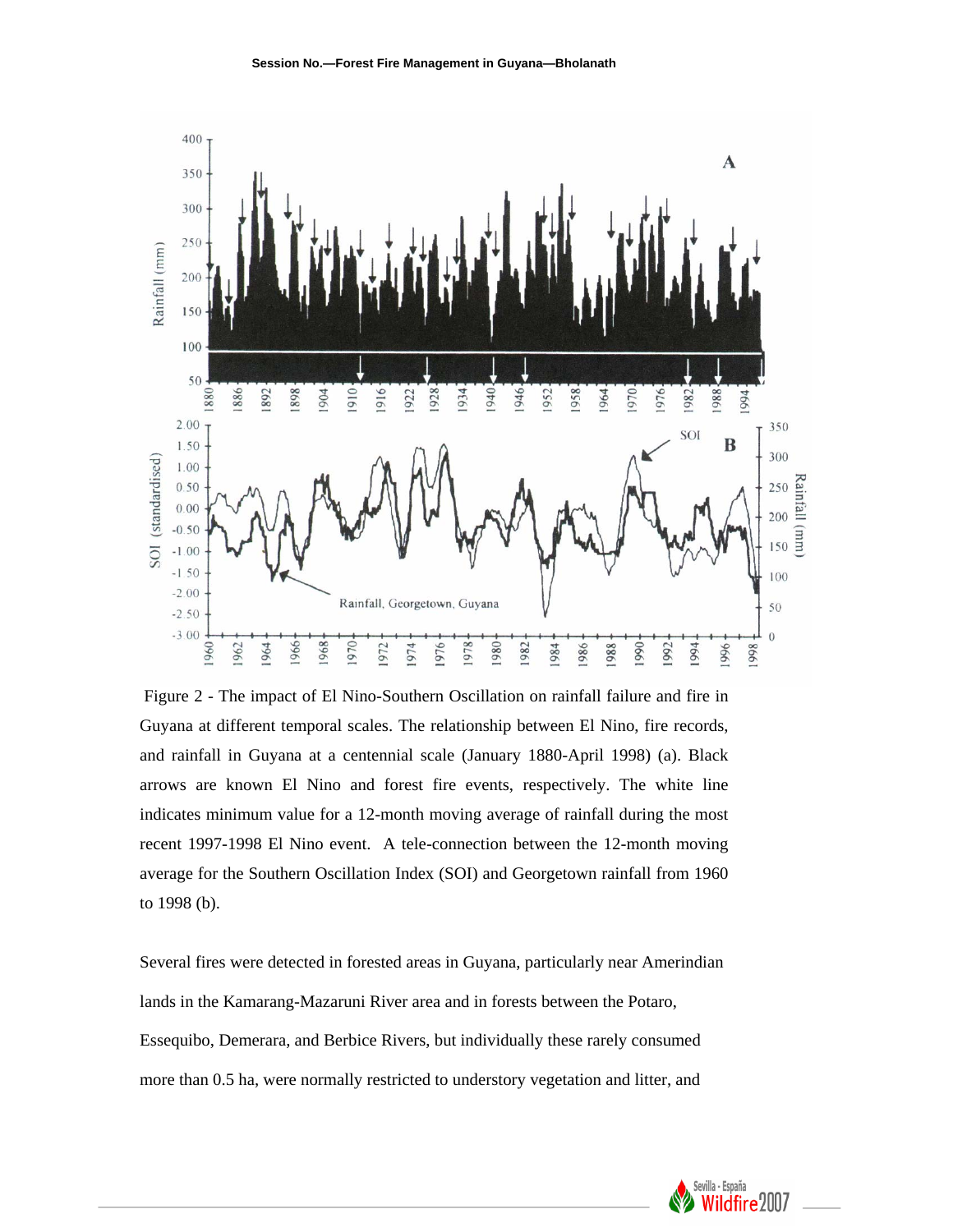

 Figure 2 - The impact of El Nino-Southern Oscillation on rainfall failure and fire in Guyana at different temporal scales. The relationship between El Nino, fire records, and rainfall in Guyana at a centennial scale (January 1880-April 1998) (a). Black arrows are known El Nino and forest fire events, respectively. The white line indicates minimum value for a 12-month moving average of rainfall during the most recent 1997-1998 El Nino event. A tele-connection between the 12-month moving average for the Southern Oscillation Index (SOI) and Georgetown rainfall from 1960 to 1998 (b).

Several fires were detected in forested areas in Guyana, particularly near Amerindian lands in the Kamarang-Mazaruni River area and in forests between the Potaro, Essequibo, Demerara, and Berbice Rivers, but individually these rarely consumed more than 0.5 ha, were normally restricted to understory vegetation and litter, and

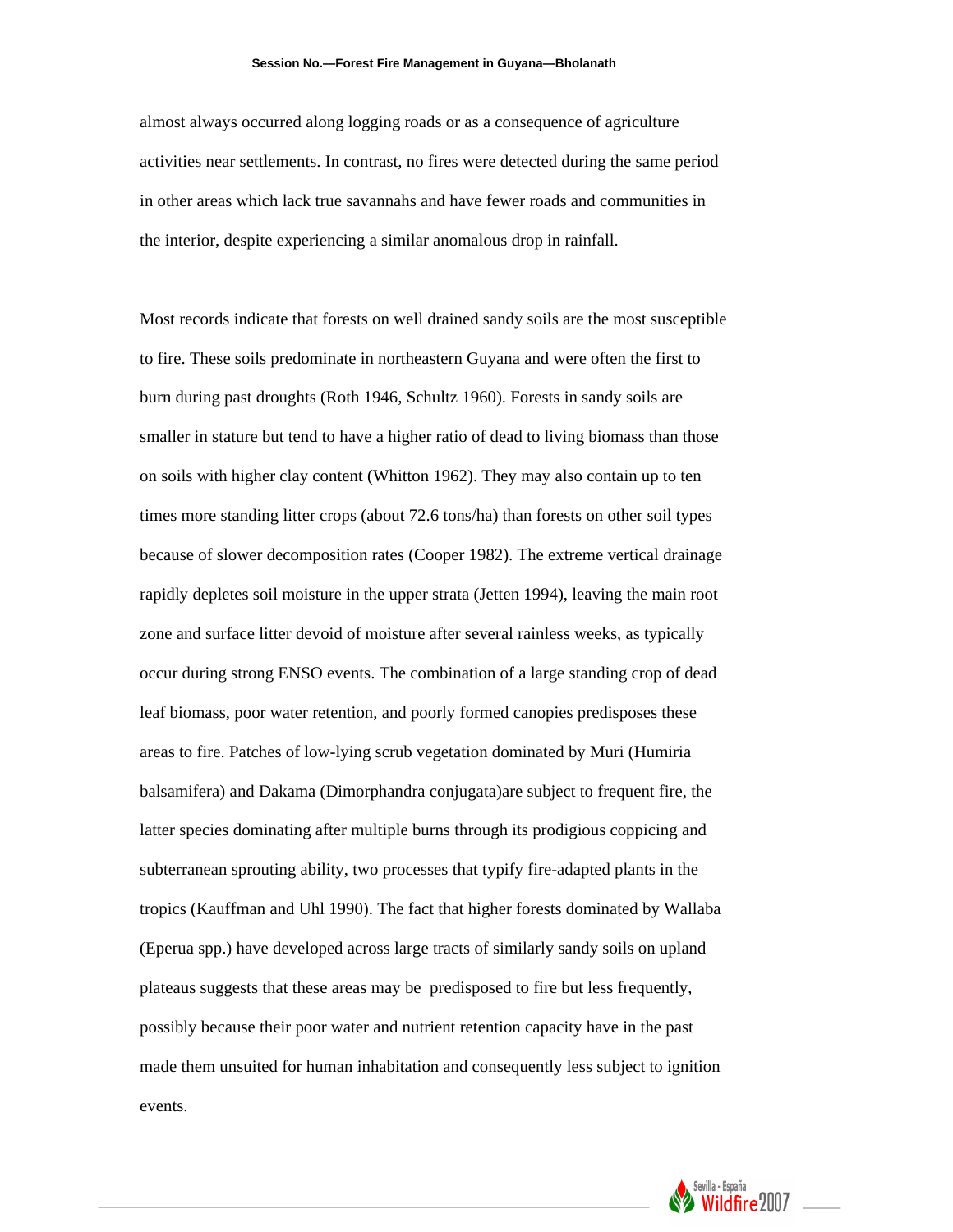#### **Session No.—Forest Fire Management in Guyana—Bholanath**

almost always occurred along logging roads or as a consequence of agriculture activities near settlements. In contrast, no fires were detected during the same period in other areas which lack true savannahs and have fewer roads and communities in the interior, despite experiencing a similar anomalous drop in rainfall.

Most records indicate that forests on well drained sandy soils are the most susceptible to fire. These soils predominate in northeastern Guyana and were often the first to burn during past droughts (Roth 1946, Schultz 1960). Forests in sandy soils are smaller in stature but tend to have a higher ratio of dead to living biomass than those on soils with higher clay content (Whitton 1962). They may also contain up to ten times more standing litter crops (about 72.6 tons/ha) than forests on other soil types because of slower decomposition rates (Cooper 1982). The extreme vertical drainage rapidly depletes soil moisture in the upper strata (Jetten 1994), leaving the main root zone and surface litter devoid of moisture after several rainless weeks, as typically occur during strong ENSO events. The combination of a large standing crop of dead leaf biomass, poor water retention, and poorly formed canopies predisposes these areas to fire. Patches of low-lying scrub vegetation dominated by Muri (Humiria balsamifera) and Dakama (Dimorphandra conjugata)are subject to frequent fire, the latter species dominating after multiple burns through its prodigious coppicing and subterranean sprouting ability, two processes that typify fire-adapted plants in the tropics (Kauffman and Uhl 1990). The fact that higher forests dominated by Wallaba (Eperua spp.) have developed across large tracts of similarly sandy soils on upland plateaus suggests that these areas may be predisposed to fire but less frequently, possibly because their poor water and nutrient retention capacity have in the past made them unsuited for human inhabitation and consequently less subject to ignition events.

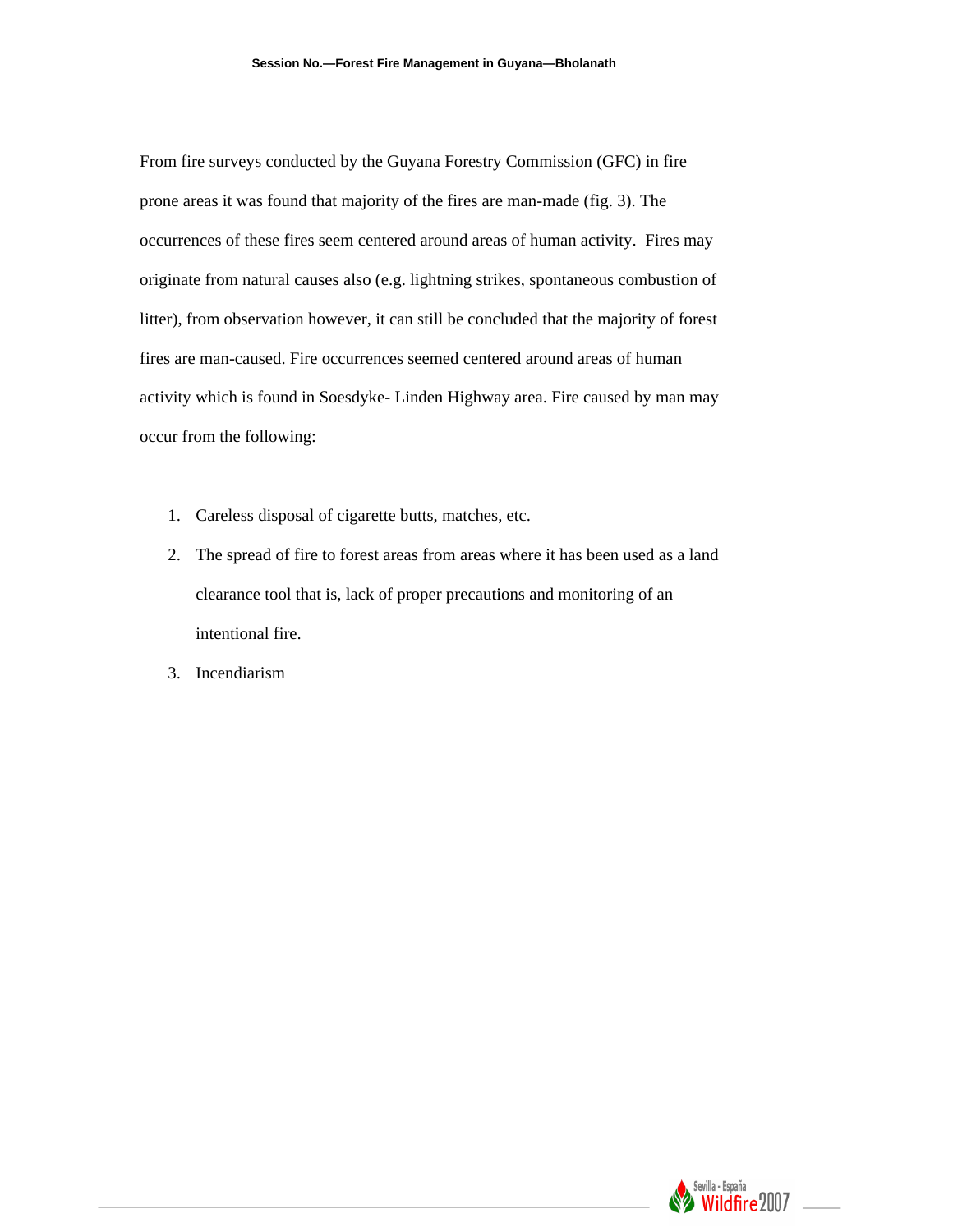From fire surveys conducted by the Guyana Forestry Commission (GFC) in fire prone areas it was found that majority of the fires are man-made (fig. 3). The occurrences of these fires seem centered around areas of human activity. Fires may originate from natural causes also (e.g. lightning strikes, spontaneous combustion of litter), from observation however, it can still be concluded that the majority of forest fires are man-caused. Fire occurrences seemed centered around areas of human activity which is found in Soesdyke- Linden Highway area. Fire caused by man may occur from the following:

- 1. Careless disposal of cigarette butts, matches, etc.
- 2. The spread of fire to forest areas from areas where it has been used as a land clearance tool that is, lack of proper precautions and monitoring of an intentional fire.
- 3. Incendiarism

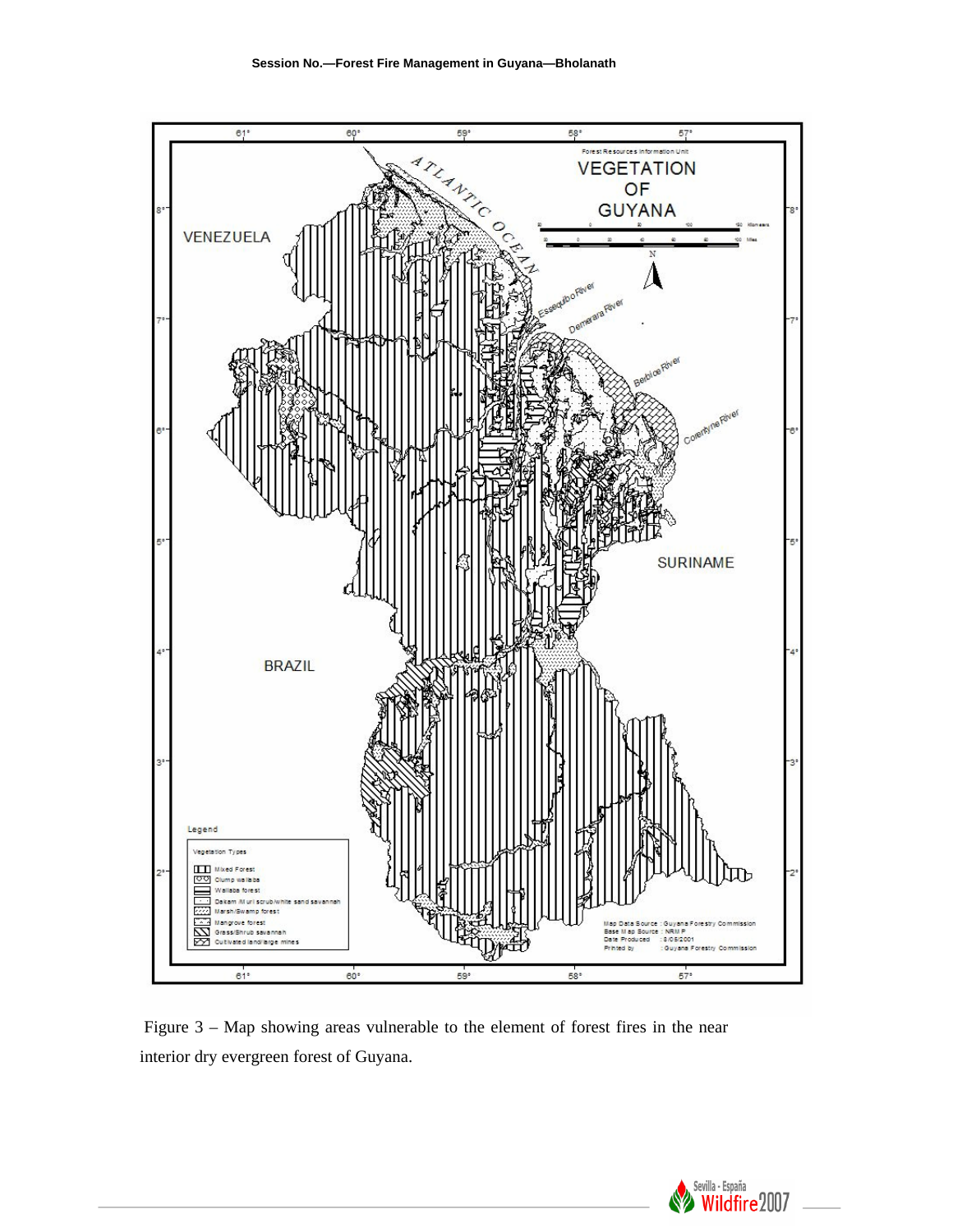

 Figure 3 – Map showing areas vulnerable to the element of forest fires in the near interior dry evergreen forest of Guyana.

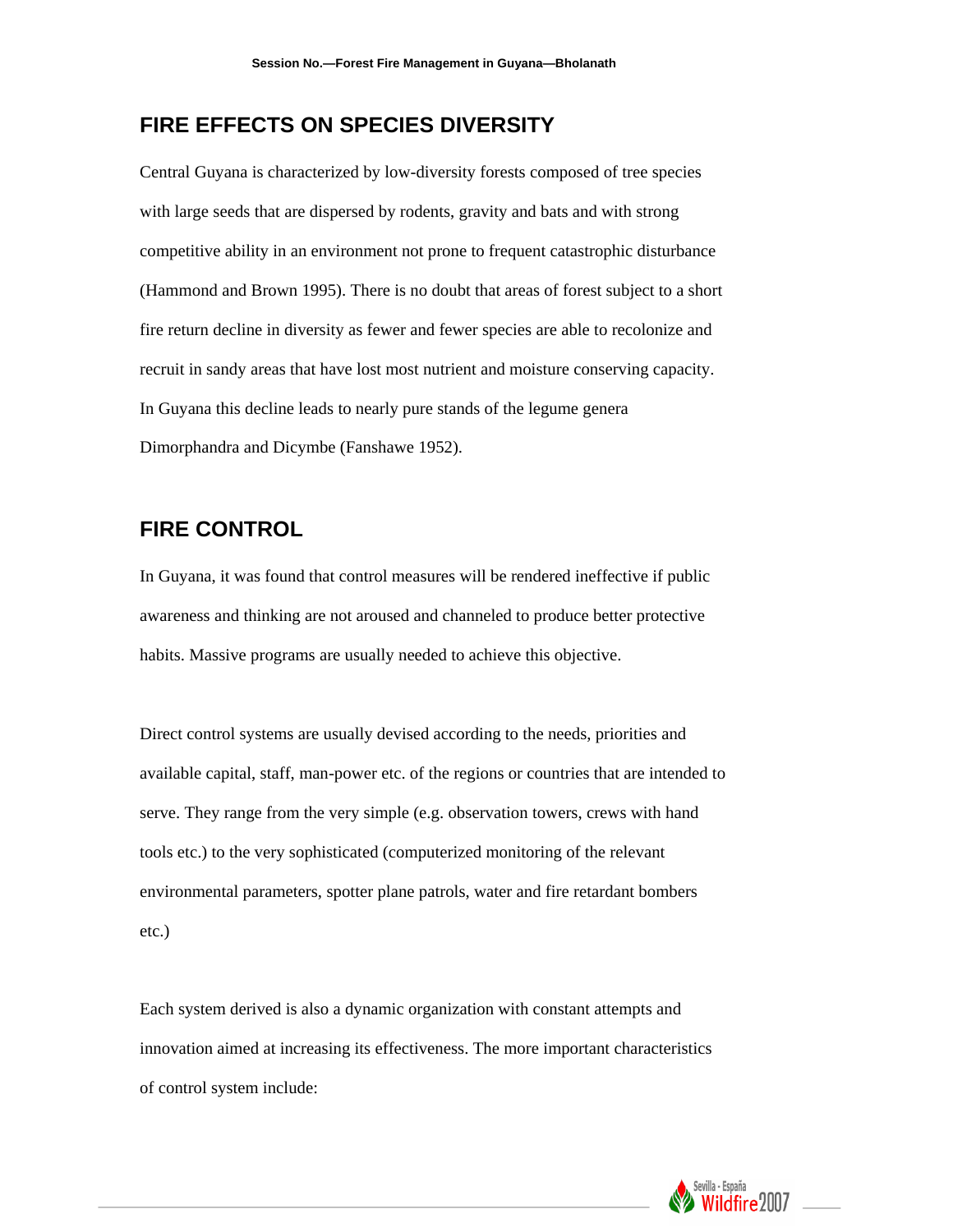# **FIRE EFFECTS ON SPECIES DIVERSITY**

Central Guyana is characterized by low-diversity forests composed of tree species with large seeds that are dispersed by rodents, gravity and bats and with strong competitive ability in an environment not prone to frequent catastrophic disturbance (Hammond and Brown 1995). There is no doubt that areas of forest subject to a short fire return decline in diversity as fewer and fewer species are able to recolonize and recruit in sandy areas that have lost most nutrient and moisture conserving capacity. In Guyana this decline leads to nearly pure stands of the legume genera Dimorphandra and Dicymbe (Fanshawe 1952).

### **FIRE CONTROL**

In Guyana, it was found that control measures will be rendered ineffective if public awareness and thinking are not aroused and channeled to produce better protective habits. Massive programs are usually needed to achieve this objective.

Direct control systems are usually devised according to the needs, priorities and available capital, staff, man-power etc. of the regions or countries that are intended to serve. They range from the very simple (e.g. observation towers, crews with hand tools etc.) to the very sophisticated (computerized monitoring of the relevant environmental parameters, spotter plane patrols, water and fire retardant bombers etc.)

Each system derived is also a dynamic organization with constant attempts and innovation aimed at increasing its effectiveness. The more important characteristics of control system include:

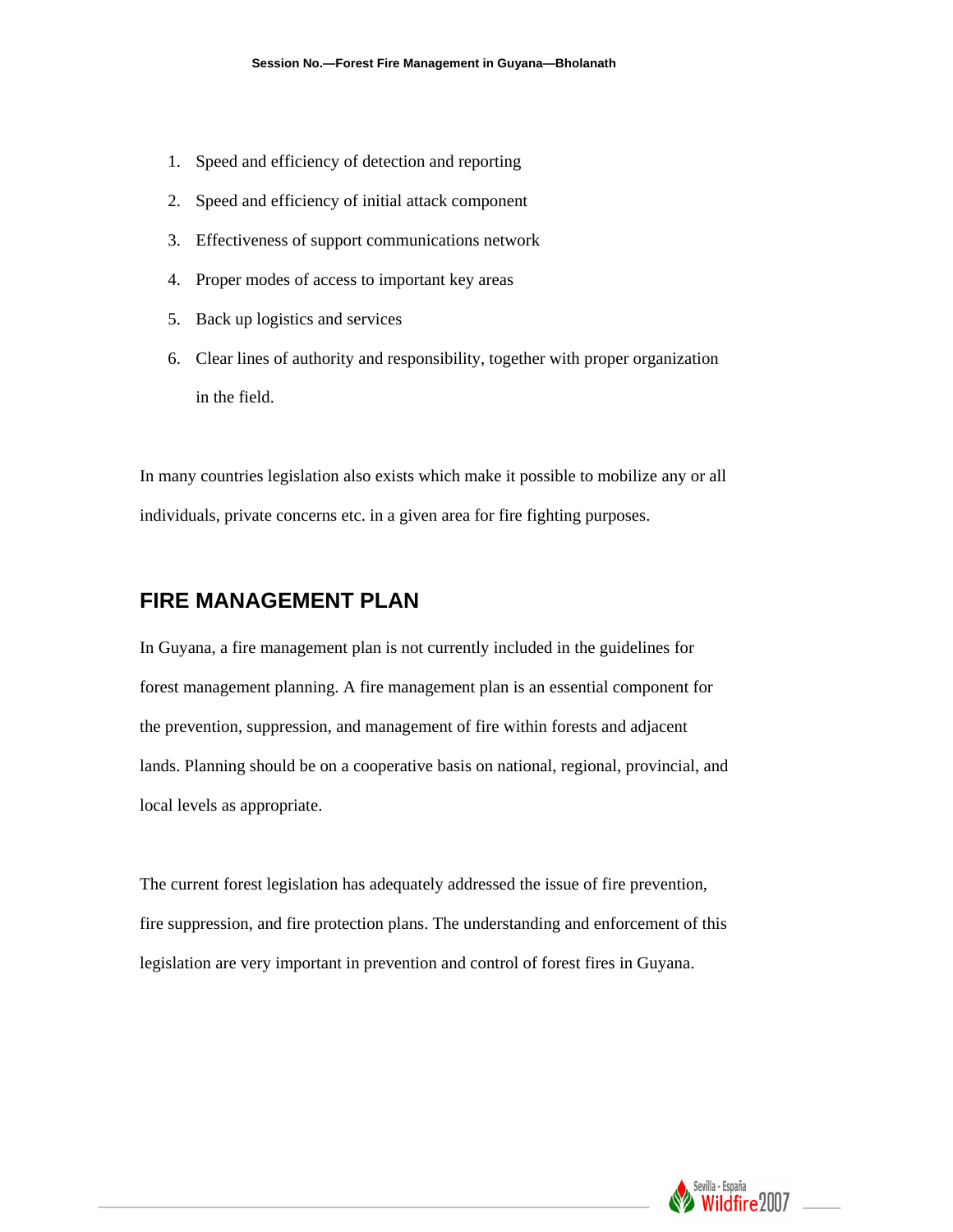- 1. Speed and efficiency of detection and reporting
- 2. Speed and efficiency of initial attack component
- 3. Effectiveness of support communications network
- 4. Proper modes of access to important key areas
- 5. Back up logistics and services
- 6. Clear lines of authority and responsibility, together with proper organization in the field.

In many countries legislation also exists which make it possible to mobilize any or all individuals, private concerns etc. in a given area for fire fighting purposes.

### **FIRE MANAGEMENT PLAN**

In Guyana, a fire management plan is not currently included in the guidelines for forest management planning. A fire management plan is an essential component for the prevention, suppression, and management of fire within forests and adjacent lands. Planning should be on a cooperative basis on national, regional, provincial, and local levels as appropriate.

The current forest legislation has adequately addressed the issue of fire prevention, fire suppression, and fire protection plans. The understanding and enforcement of this legislation are very important in prevention and control of forest fires in Guyana.

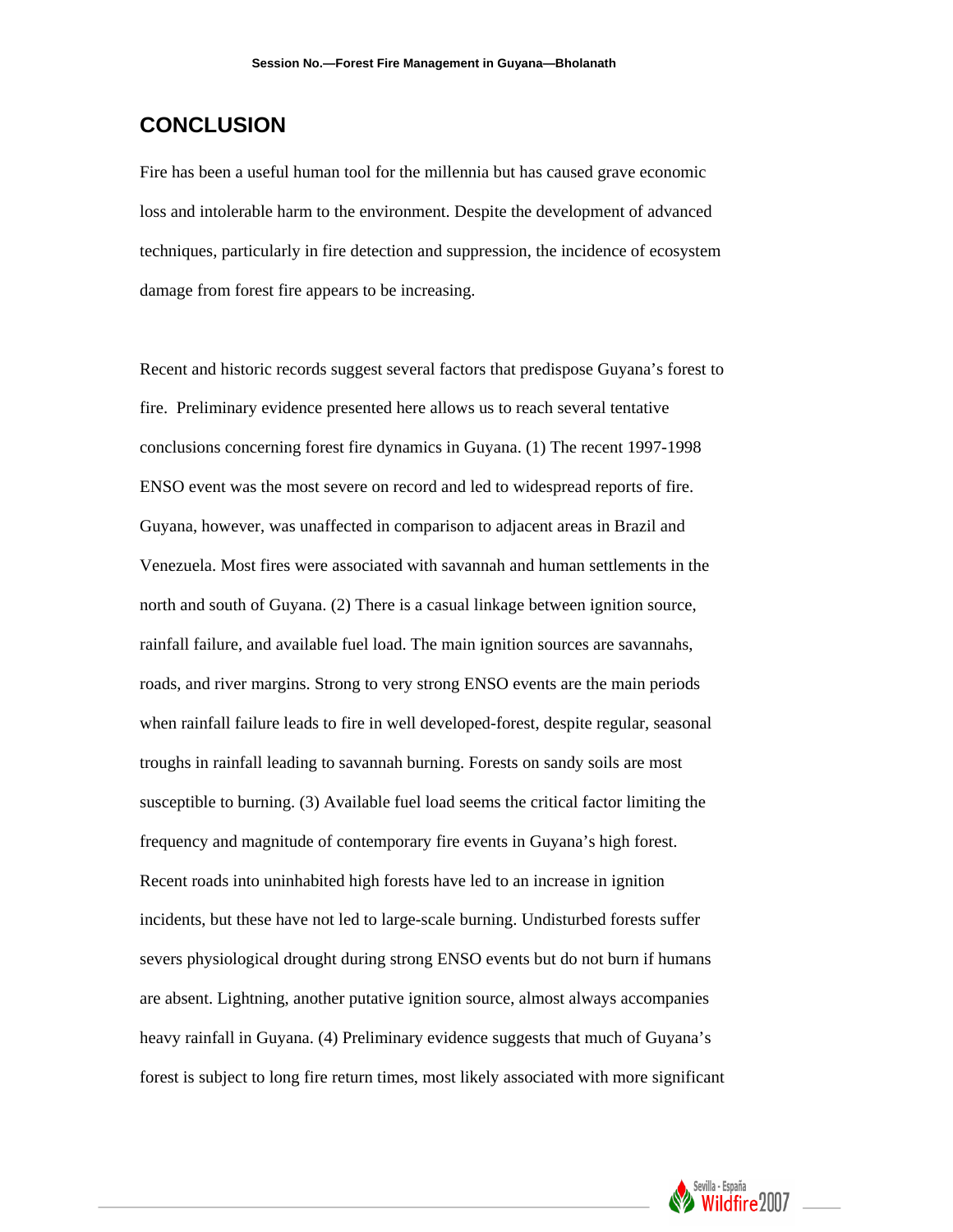# **CONCLUSION**

Fire has been a useful human tool for the millennia but has caused grave economic loss and intolerable harm to the environment. Despite the development of advanced techniques, particularly in fire detection and suppression, the incidence of ecosystem damage from forest fire appears to be increasing.

Recent and historic records suggest several factors that predispose Guyana's forest to fire. Preliminary evidence presented here allows us to reach several tentative conclusions concerning forest fire dynamics in Guyana. (1) The recent 1997-1998 ENSO event was the most severe on record and led to widespread reports of fire. Guyana, however, was unaffected in comparison to adjacent areas in Brazil and Venezuela. Most fires were associated with savannah and human settlements in the north and south of Guyana. (2) There is a casual linkage between ignition source, rainfall failure, and available fuel load. The main ignition sources are savannahs, roads, and river margins. Strong to very strong ENSO events are the main periods when rainfall failure leads to fire in well developed-forest, despite regular, seasonal troughs in rainfall leading to savannah burning. Forests on sandy soils are most susceptible to burning. (3) Available fuel load seems the critical factor limiting the frequency and magnitude of contemporary fire events in Guyana's high forest. Recent roads into uninhabited high forests have led to an increase in ignition incidents, but these have not led to large-scale burning. Undisturbed forests suffer severs physiological drought during strong ENSO events but do not burn if humans are absent. Lightning, another putative ignition source, almost always accompanies heavy rainfall in Guyana. (4) Preliminary evidence suggests that much of Guyana's forest is subject to long fire return times, most likely associated with more significant

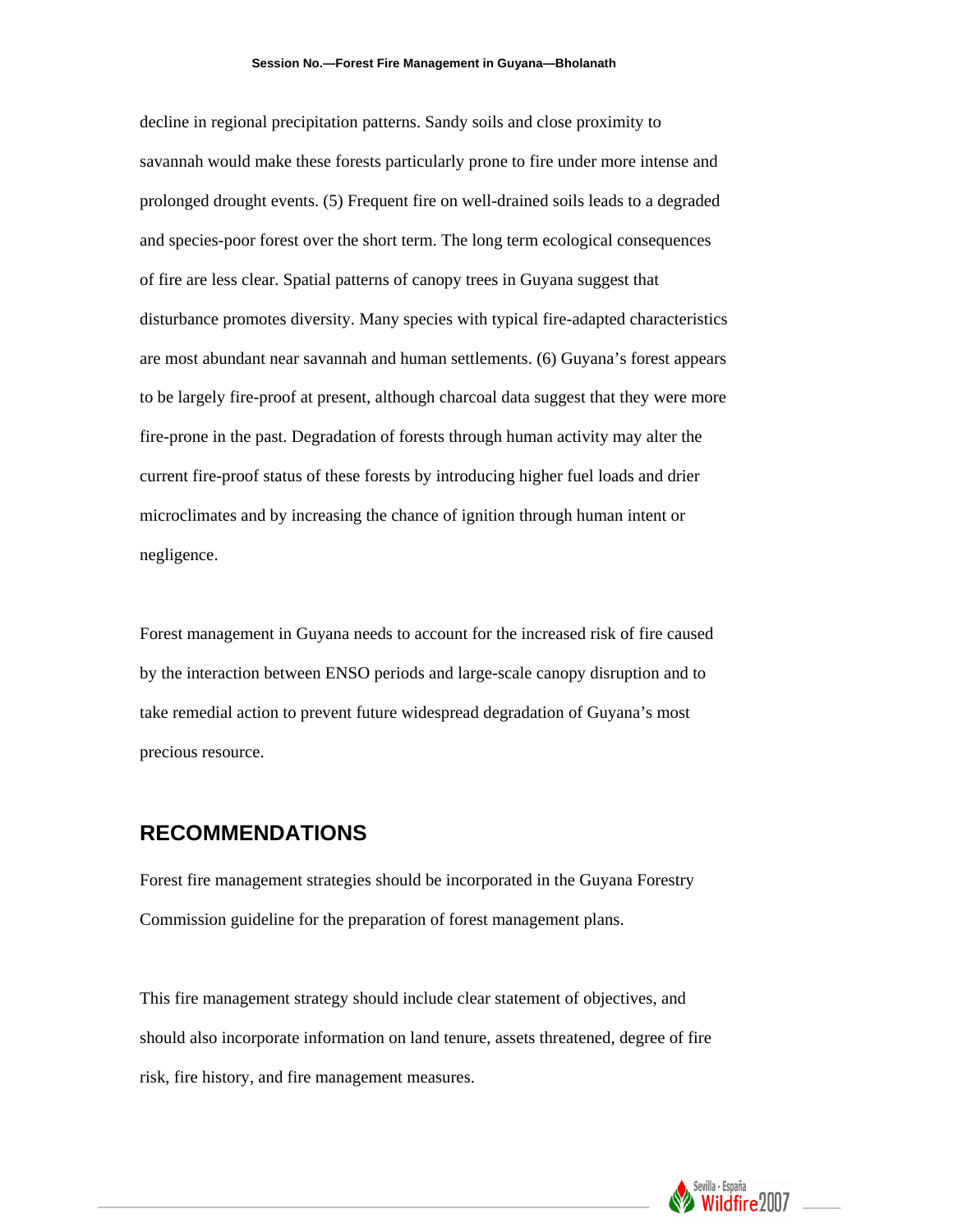decline in regional precipitation patterns. Sandy soils and close proximity to savannah would make these forests particularly prone to fire under more intense and prolonged drought events. (5) Frequent fire on well-drained soils leads to a degraded and species-poor forest over the short term. The long term ecological consequences of fire are less clear. Spatial patterns of canopy trees in Guyana suggest that disturbance promotes diversity. Many species with typical fire-adapted characteristics are most abundant near savannah and human settlements. (6) Guyana's forest appears to be largely fire-proof at present, although charcoal data suggest that they were more fire-prone in the past. Degradation of forests through human activity may alter the current fire-proof status of these forests by introducing higher fuel loads and drier microclimates and by increasing the chance of ignition through human intent or negligence.

Forest management in Guyana needs to account for the increased risk of fire caused by the interaction between ENSO periods and large-scale canopy disruption and to take remedial action to prevent future widespread degradation of Guyana's most precious resource.

### **RECOMMENDATIONS**

Forest fire management strategies should be incorporated in the Guyana Forestry Commission guideline for the preparation of forest management plans.

This fire management strategy should include clear statement of objectives, and should also incorporate information on land tenure, assets threatened, degree of fire risk, fire history, and fire management measures.

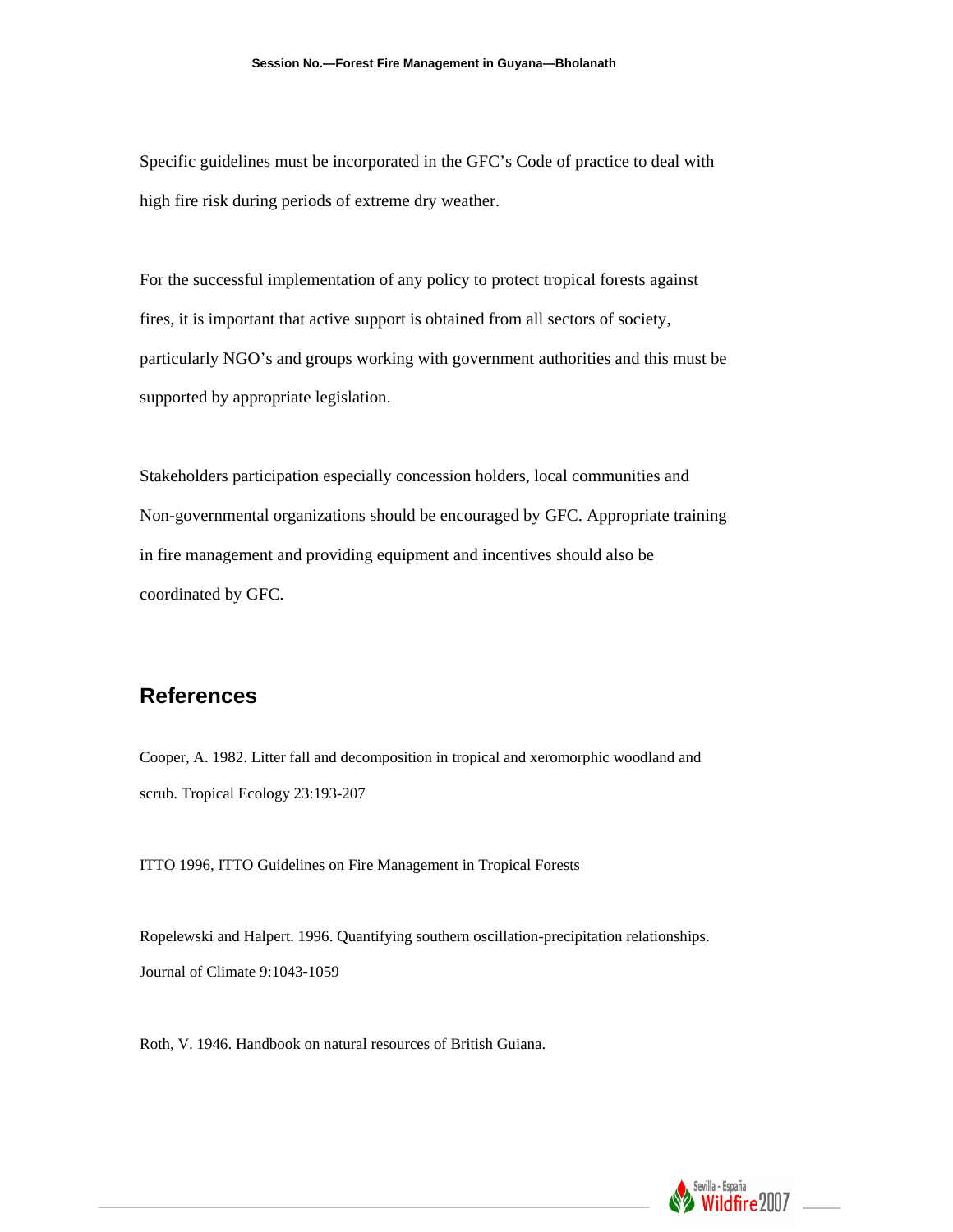Specific guidelines must be incorporated in the GFC's Code of practice to deal with high fire risk during periods of extreme dry weather.

For the successful implementation of any policy to protect tropical forests against fires, it is important that active support is obtained from all sectors of society, particularly NGO's and groups working with government authorities and this must be supported by appropriate legislation.

Stakeholders participation especially concession holders, local communities and Non-governmental organizations should be encouraged by GFC. Appropriate training in fire management and providing equipment and incentives should also be coordinated by GFC.

### **References**

Cooper, A. 1982. Litter fall and decomposition in tropical and xeromorphic woodland and scrub. Tropical Ecology 23:193-207

ITTO 1996, ITTO Guidelines on Fire Management in Tropical Forests

Ropelewski and Halpert. 1996. Quantifying southern oscillation-precipitation relationships. Journal of Climate 9:1043-1059

Roth, V. 1946. Handbook on natural resources of British Guiana.